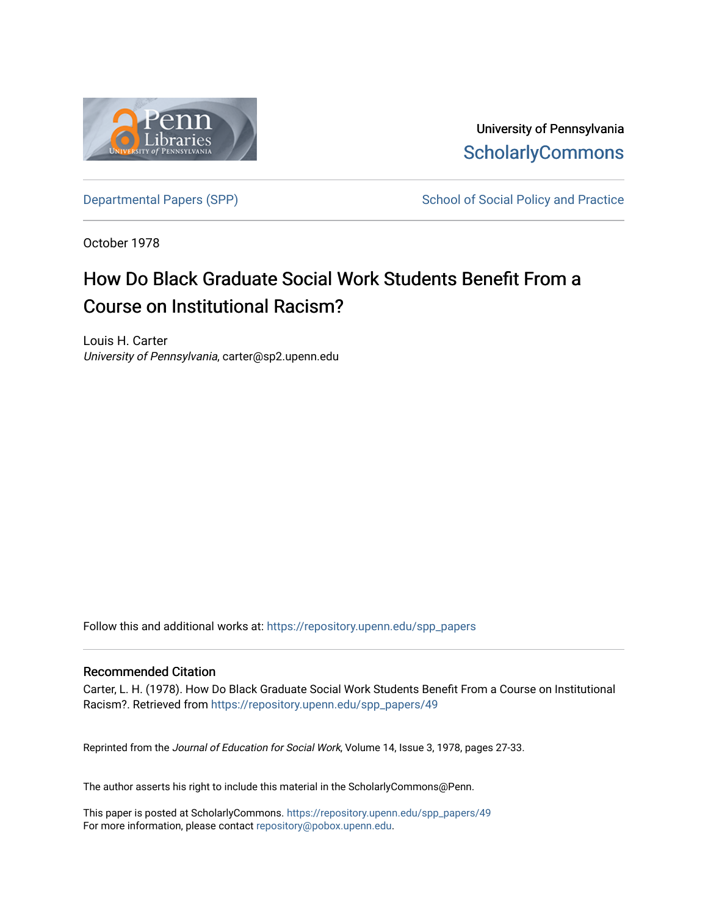

University of Pennsylvania **ScholarlyCommons** 

[Departmental Papers \(SPP\)](https://repository.upenn.edu/spp_papers) School of Social Policy and Practice

October 1978

# How Do Black Graduate Social Work Students Benefit From a Course on Institutional Racism?

Louis H. Carter University of Pennsylvania, carter@sp2.upenn.edu

Follow this and additional works at: [https://repository.upenn.edu/spp\\_papers](https://repository.upenn.edu/spp_papers?utm_source=repository.upenn.edu%2Fspp_papers%2F49&utm_medium=PDF&utm_campaign=PDFCoverPages) 

# Recommended Citation

Carter, L. H. (1978). How Do Black Graduate Social Work Students Benefit From a Course on Institutional Racism?. Retrieved from [https://repository.upenn.edu/spp\\_papers/49](https://repository.upenn.edu/spp_papers/49?utm_source=repository.upenn.edu%2Fspp_papers%2F49&utm_medium=PDF&utm_campaign=PDFCoverPages)

Reprinted from the Journal of Education for Social Work, Volume 14, Issue 3, 1978, pages 27-33.

The author asserts his right to include this material in the ScholarlyCommons@Penn.

This paper is posted at ScholarlyCommons. [https://repository.upenn.edu/spp\\_papers/49](https://repository.upenn.edu/spp_papers/49)  For more information, please contact [repository@pobox.upenn.edu.](mailto:repository@pobox.upenn.edu)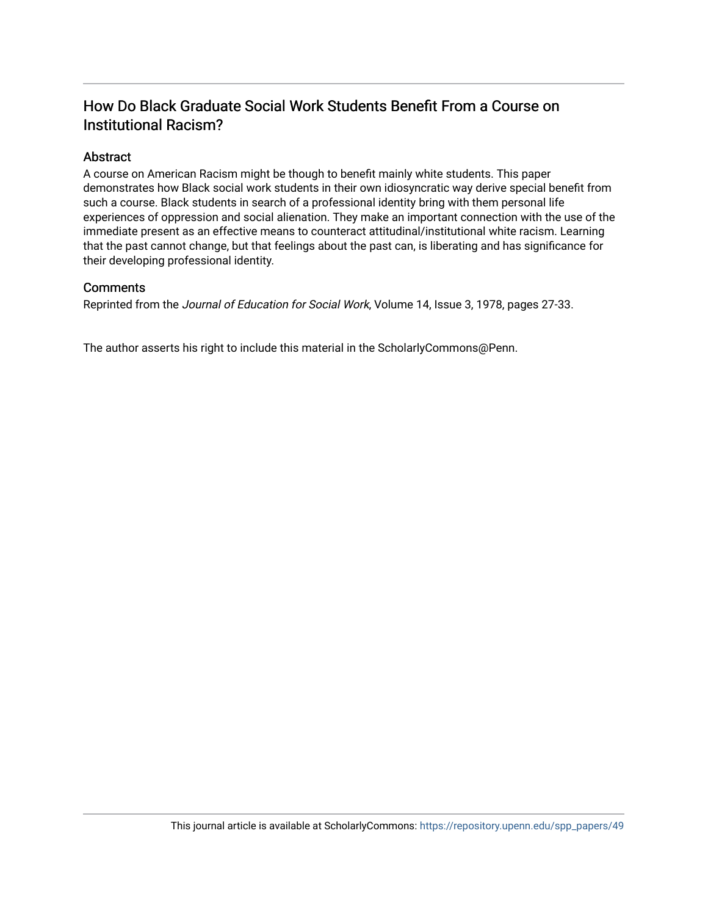# How Do Black Graduate Social Work Students Benefit From a Course on Institutional Racism?

# Abstract

A course on American Racism might be though to benefit mainly white students. This paper demonstrates how Black social work students in their own idiosyncratic way derive special benefit from such a course. Black students in search of a professional identity bring with them personal life experiences of oppression and social alienation. They make an important connection with the use of the immediate present as an effective means to counteract attitudinal/institutional white racism. Learning that the past cannot change, but that feelings about the past can, is liberating and has significance for their developing professional identity.

# **Comments**

Reprinted from the Journal of Education for Social Work, Volume 14, Issue 3, 1978, pages 27-33.

The author asserts his right to include this material in the ScholarlyCommons@Penn.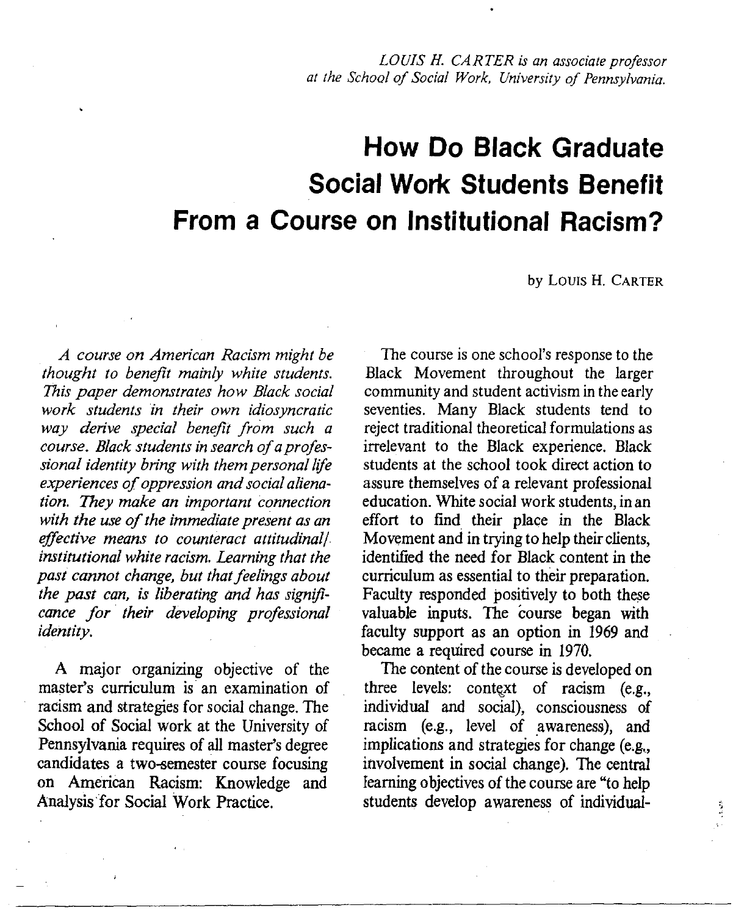LOUIS H. CARTER is an associate professor at the School of Social Work, University of Pennsylvania.

# **How Do Black Graduate Social Work Students Benefit** From a Course on Institutional Racism?

by LOUIS H. CARTER

A course on American Racism might be thought to benefit mainly white students. This paper demonstrates how Black social work students in their own idiosyncratic way derive special benefit from such a course. Black students in search of a professional identity bring with them personal life experiences of oppression and social alienation. They make an important connection with the use of the immediate present as an effective means to counteract attitudinal/ institutional white racism. Learning that the past cannot change, but that feelings about the past can, is liberating and has significance for their developing professional *identity.* 

A major organizing objective of the master's curriculum is an examination of racism and strategies for social change. The School of Social work at the University of Pennsylvania requires of all master's degree candidates a two-semester course focusing on American Racism: Knowledge and Analysis for Social Work Practice.

The course is one school's response to the Black Movement throughout the larger community and student activism in the early seventies. Many Black students tend to reject traditional theoretical formulations as irrelevant to the Black experience. Black students at the school took direct action to assure themselves of a relevant professional education. White social work students, in an effort to find their place in the Black Movement and in trying to help their clients, identified the need for Black content in the curriculum as essential to their preparation. Faculty responded positively to both these valuable inputs. The course began with faculty support as an option in 1969 and became a required course in 1970.

The content of the course is developed on three levels: context of racism (e.g., individual and social), consciousness of racism (e.g., level of awareness), and implications and strategies for change (e.g., involvement in social change). The central learning objectives of the course are "to help students develop awareness of individual-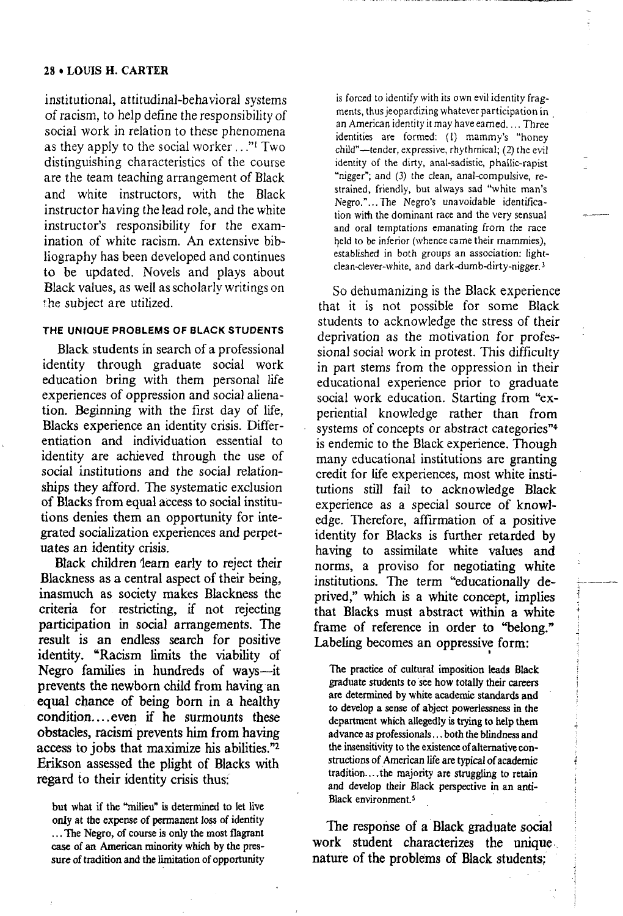## 28 • LOUIS H. CARTER

institutional, attitudinal-behavioral systems of racism, to help define the responsibility of social work in relation to these phenomena as they apply to the social worker ..."<sup>1</sup> Two distinguishing characteristics of the course are the team teaching arrangement of Black and white instructors, with the Black instructor having the lead role, and the white instructor's responsibility for the examination of white racism. An extensive bibliography has been developed and continues to be updated. Novels and plays about Black values, as well as scholarly writings on the subject are utilized.

### THE UNIQUE PROBLEMS OF BLACK STUDENTS

Black students in search of a professional identity through graduate social work education bring with them personal life experiences of oppression and social alienation. Beginning with the first day of life, Blacks experience an identity crisis. Differentiation and individuation essential to identity are achieved through the use of social institutions and the social relationships they afford. The systematic exclusion of Blacks from equal access to social institutions denies them an opportunity for integrated socialization experiences and perpetuates an identity crisis.

Black children learn early to reject their Blackness as a central aspect of their being, inasmuch as society makes Blackness the criteria for restricting, if not rejecting participation in social arrangements. The result is an endless search for positive identity. "Racism limits the viability of Negro families in hundreds of ways—it prevents the newborn child from having an equal chance of being born in a healthy condition....even if he surmounts these obstacles, racism prevents him from having access to jobs that maximize his abilities."2 Erikson assessed the plight of Blacks with regard to their identity crisis thus:

but what if the "milieu" is determined to let live only at the expense of permanent loss of identity ... The Negro, of course is only the most flagrant case of an American minority which by the pressure of tradition and the limitation of opportunity

is forced to identify with its own evil identity fragments, thus jeopardizing whatever participation in an American identity it may have earned.... Three identities are formed: (1) mammy's "honey child"—tender, expressive, rhythmical; (2) the evil identity of the dirty, anal-sadistic, phallic-rapist "nigger"; and (3) the clean, anal-compulsive, restrained, friendly, but always sad "white man's Negro."...The Negro's unavoidable identification with the dominant race and the very sensual and oral temptations emanating from the race held to be inferior (whence came their mammies), established in both groups an association: lightclean-clever-white, and dark-dumb-dirty-nigger.<sup>3</sup>

So dehumanizing is the Black experience that it is not possible for some Black students to acknowledge the stress of their deprivation as the motivation for professional social work in protest. This difficulty in part stems from the oppression in their educational experience prior to graduate social work education. Starting from "experiential knowledge rather than from systems of concepts or abstract categories"<sup>4</sup> is endemic to the Black experience. Though many educational institutions are granting credit for life experiences, most white institutions still fail to acknowledge Black experience as a special source of knowledge. Therefore, affirmation of a positive identity for Blacks is further retarded by having to assimilate white values and norms, a proviso for negotiating white institutions. The term "educationally deprived," which is a white concept, implies that Blacks must abstract within a white frame of reference in order to "belong." Labeling becomes an oppressive form:

The practice of cultural imposition leads Black graduate students to see how totally their careers are determined by white academic standards and to develop a sense of abject powerlessness in the department which allegedly is trying to help them advance as professionals...both the blindness and the insensitivity to the existence of alternative constructions of American life are typical of academic tradition....the majority are struggling to retain and develop their Black perspective in an anti-Black environment.<sup>5</sup>

The response of a Black graduate social work student characterizes the unique nature of the problems of Black students: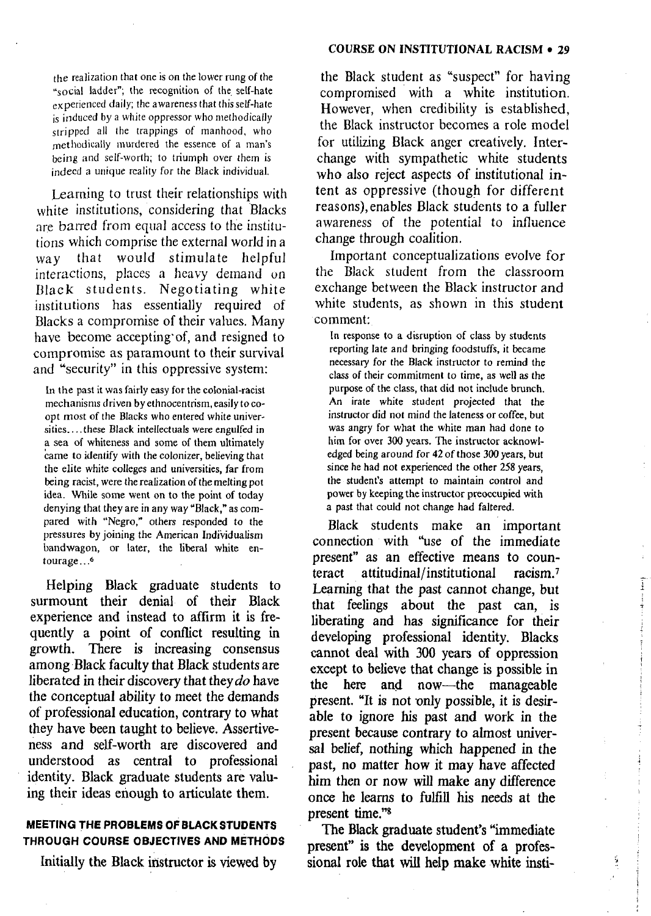the realization that one is on the lower rung of the "social ladder"; the recognition of the self-hate experienced daily; the awareness that this self-hate is induced by a white oppressor who methodically stripped all the trappings of manhood, who methodically murdered the essence of a man's being and self-worth; to triumph over them is indeed a unique reality for the Black individual.

Learning to trust their relationships with white institutions, considering that Blacks are barred from equal access to the institutions which comprise the external world in a way that would stimulate helpful interactions, places a heavy demand on Black students. Negotiating white institutions has essentially required of Blacks a compromise of their values. Many have become accepting of, and resigned to compromise as paramount to their survival and "security" in this oppressive system:

In the past it was fairly easy for the colonial-racist mechanisms driven by ethnocentrism, easily to coopt most of the Blacks who entered white universities....these Black intellectuals were engulfed in a sea of whiteness and some of them ultimately came to identify with the colonizer, believing that the elite white colleges and universities, far from being racist, were the realization of the melting pot idea. While some went on to the point of today denying that they are in any way "Black," as compared with "Negro," others responded to the pressures by joining the American Individualism bandwagon, or later, the liberal white entourage...<sup>6</sup>

Helping Black graduate students to surmount their denial of their Black experience and instead to affirm it is frequently a point of conflict resulting in growth. There is increasing consensus among Black faculty that Black students are liberated in their discovery that they do have the conceptual ability to meet the demands of professional education, contrary to what they have been taught to believe. Assertiveness and self-worth are discovered and understood as central to professional identity. Black graduate students are valuing their ideas enough to articulate them.

## **MEETING THE PROBLEMS OF BLACK STUDENTS** THROUGH COURSE OBJECTIVES AND METHODS

Initially the Black instructor is viewed by

the Black student as "suspect" for having compromised with a white institution. However, when credibility is established, the Black instructor becomes a role model for utilizing Black anger creatively. Interchange with sympathetic white students who also reject aspects of institutional intent as oppressive (though for different reasons), enables Black students to a fuller awareness of the potential to influence change through coalition.

Important conceptualizations evolve for the Black student from the classroom exchange between the Black instructor and white students, as shown in this student comment:

In response to a disruption of class by students reporting late and bringing foodstuffs, it became necessary for the Black instructor to remind the class of their commitment to time, as well as the purpose of the class, that did not include brunch. An irate white student projected that the instructor did not mind the lateness or coffee, but was angry for what the white man had done to him for over 300 years. The instructor acknowledged being around for 42 of those 300 years, but since he had not experienced the other 258 years. the student's attempt to maintain control and power by keeping the instructor preoccupied with a past that could not change had faltered.

Black students make an important connection with "use of the immediate" present" as an effective means to counteract attitudinal/institutional racism.<sup>7</sup> Learning that the past cannot change, but that feelings about the past can, is liberating and has significance for their developing professional identity. Blacks cannot deal with 300 years of oppression except to believe that change is possible in the here and now—the manageable present. "It is not only possible, it is desirable to ignore his past and work in the present because contrary to almost universal belief, nothing which happened in the past, no matter how it may have affected him then or now will make any difference once he learns to fulfill his needs at the present time."<sup>8</sup>

 $\begin{array}{c} \bullet \\ \bullet \\ \bullet \\ \bullet \end{array}$ 

The Black graduate student's "immediate" present" is the development of a professional role that will help make white insti-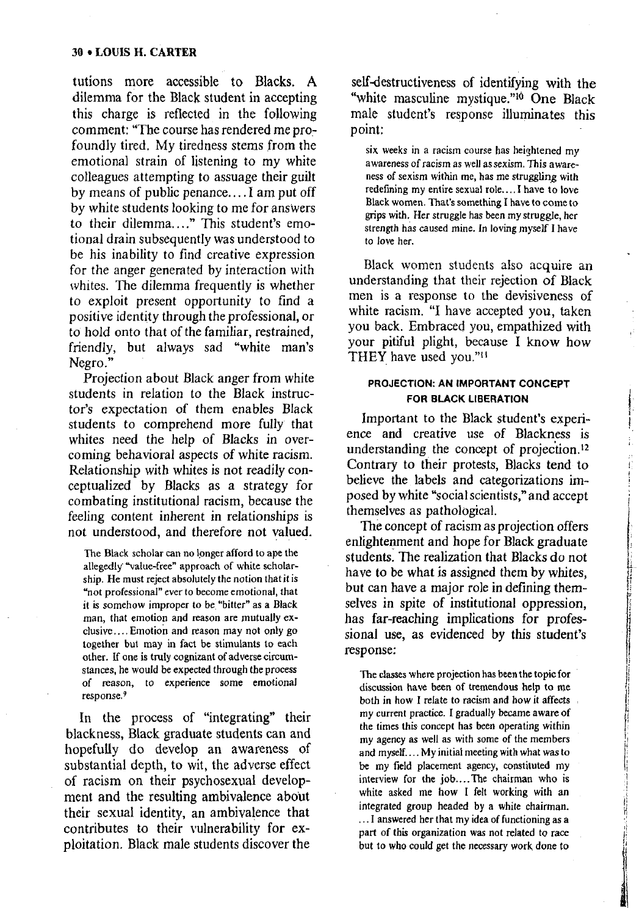tutions more accessible to Blacks. A dilemma for the Black student in accepting this charge is reflected in the following comment: "The course has rendered me profoundly tired. My tiredness stems from the emotional strain of listening to my white colleagues attempting to assuage their guilt by means of public penance.... I am put off by white students looking to me for answers to their dilemma...." This student's emotional drain subsequently was understood to be his inability to find creative expression for the anger generated by interaction with whites. The dilemma frequently is whether to exploit present opportunity to find a positive identity through the professional, or to hold onto that of the familiar, restrained, friendly, but always sad "white man's Negro."

Projection about Black anger from white students in relation to the Black instructor's expectation of them enables Black students to comprehend more fully that whites need the help of Blacks in overcoming behavioral aspects of white racism. Relationship with whites is not readily conceptualized by Blacks as a strategy for combating institutional racism, because the feeling content inherent in relationships is not understood, and therefore not valued.

The Black scholar can no longer afford to ape the allegedly "value-free" approach of white scholarship. He must reject absolutely the notion that it is "not professional" ever to become emotional, that it is somehow improper to be "bitter" as a Black man, that emotion and reason are mutually exclusive.... Emotion and reason may not only go together but may in fact be stimulants to each other. If one is truly cognizant of adverse circumstances, he would be expected through the process of reason, to experience some emotional response.<sup>9</sup>

In the process of "integrating" their blackness. Black graduate students can and hopefully do develop an awareness of substantial depth, to wit, the adverse effect of racism on their psychosexual development and the resulting ambivalence about their sexual identity, an ambivalence that contributes to their vulnerability for exploitation. Black male students discover the

self-destructiveness of identifying with the "white masculine mystique."<sup>10</sup> One Black male student's response illuminates this point:

six weeks in a racism course has heightened my awareness of racism as well as sexism. This awareness of sexism within me, has me struggling with redefining my entire sexual role.... I have to love Black women. That's something I have to come to grips with. Her struggle has been my struggle, her strength has caused mine. In loving myself I have to love her.

Black women students also acquire an understanding that their rejection of Black men is a response to the devisiveness of white racism. "I have accepted you, taken you back. Embraced you, empathized with your pitiful plight, because I know how THEY have used you."<sup>11</sup>

### PROJECTION: AN IMPORTANT CONCEPT FOR BLACK LIBERATION

Important to the Black student's experience and creative use of Blackness is understanding the concept of projection.<sup>12</sup> Contrary to their protests, Blacks tend to believe the labels and categorizations imposed by white "social scientists," and accept themselves as pathological.

The concept of racism as projection offers enlightenment and hope for Black graduate students. The realization that Blacks do not have to be what is assigned them by whites. but can have a major role in defining themselves in spite of institutional oppression, has far-reaching implications for professional use, as evidenced by this student's response:

The classes where projection has been the topic for discussion have been of tremendous help to me both in how I relate to racism and how it affects my current practice. I gradually became aware of the times this concept has been operating within my agency as well as with some of the members and myself.... My initial meeting with what was to be my field placement agency, constituted my interview for the job....The chairman who is white asked me how I felt working with an integrated group headed by a white chairman. ... I answered her that my idea of functioning as a part of this organization was not related to race but to who could get the necessary work done to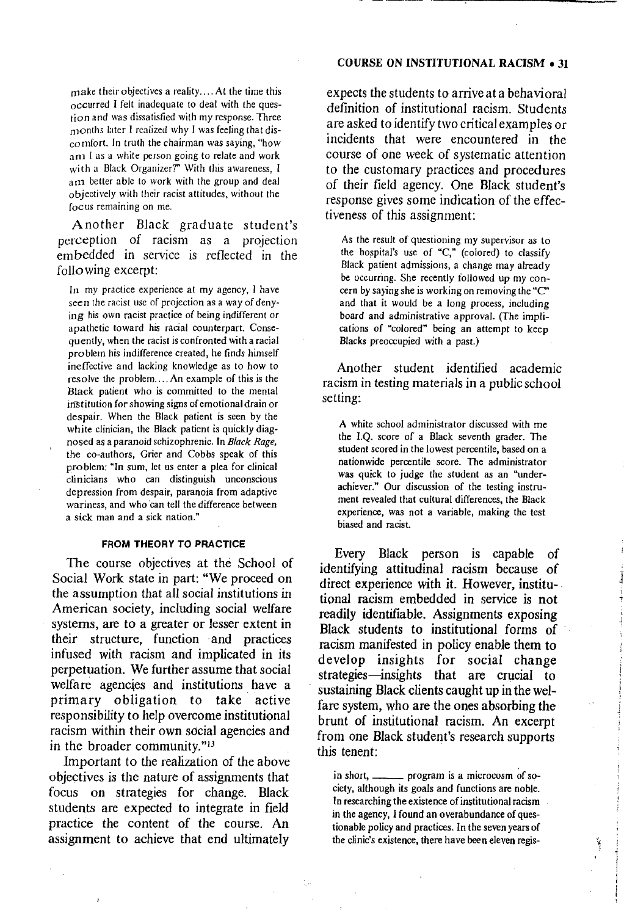## **COURSE ON INSTITUTIONAL RACISM • 31**

make their objectives a reality.... At the time this occurred I felt inadequate to deal with the question and was dissatisfied with my response. Three months later I realized why I was feeling that dis- $\frac{1}{2}$  comfort. In truth the chairman was saying, "how art I as a white person going to relate and work with a Black Organizer?" With this awareness. I am better able to work with the group and deal objectively with their racist attitudes, without the focus remaining on me.

Another Black graduate student's perception of racism as a projection embedded in service is reflected in the following excerpt:

In my practice experience at my agency, I have seen the racist use of projection as a way of denying his own racist practice of being indifferent or apathetic toward his racial counterpart. Consequently, when the racist is confronted with a racial problem his indifference created, he finds himself ineffective and lacking knowledge as to how to resolve the problem.... An example of this is the Black patient who is committed to the mental institution for showing signs of emotional drain or despair. When the Black patient is seen by the white clinician, the Black patient is quickly diagnosed as a paranoid schizophrenic. In Black Rage, the co-authors, Grier and Cobbs speak of this problem: "In sum, let us enter a plea for clinical clinicians who can distinguish unconscious depression from despair, paranoia from adaptive wariness, and who can tell the difference between a sick man and a sick nation."

#### **FROM THEORY TO PRACTICE**

The course objectives at the School of Social Work state in part: "We proceed on the assumption that all social institutions in American society, including social welfare systems, are to a greater or lesser extent in their structure, function and practices infused with racism and implicated in its perpetuation. We further assume that social welfare agencies and institutions have a primary obligation to take active responsibility to help overcome institutional racism within their own social agencies and in the broader community."<sup>13</sup>

Important to the realization of the above objectives is the nature of assignments that focus on strategies for change. Black students are expected to integrate in field practice the content of the course. An assignment to achieve that end ultimately

expects the students to arrive at a behavioral definition of institutional racism. Students are asked to identify two critical examples or incidents that were encountered in the course of one week of systematic attention to the customary practices and procedures of their field agency. One Black student's response gives some indication of the effectiveness of this assignment:

As the result of questioning my supervisor as to the hospital's use of "C," (colored) to classify Black patient admissions, a change may already be occurring. She recently followed up my concern by saying she is working on removing the "C" and that it would be a long process, including board and administrative approval. (The implications of "colored" being an attempt to keep Blacks preoccupied with a past.)

Another student identified academic racism in testing materials in a public school setting:

A white school administrator discussed with me the I.Q. score of a Black seventh grader. The student scored in the lowest percentile, based on a nationwide percentile score. The administrator was quick to judge the student as an "underachiever." Our discussion of the testing instrument revealed that cultural differences, the Black experience, was not a variable, making the test biased and racist.

Every Black person is capable of identifying attitudinal racism because of direct experience with it. However, institutional racism embedded in service is not readily identifiable. Assignments exposing Black students to institutional forms of racism manifested in policy enable them to develop insights for social change strategies—insights that are crucial to sustaining Black clients caught up in the welfare system, who are the ones absorbing the brunt of institutional racism. An excerpt from one Black student's research supports this tenent:

in short.  $\qquad$ program is a microcosm of society, although its goals and functions are noble. In researching the existence of institutional racism in the agency, I found an overabundance of questionable policy and practices. In the seven years of the clinic's existence, there have been eleven regis-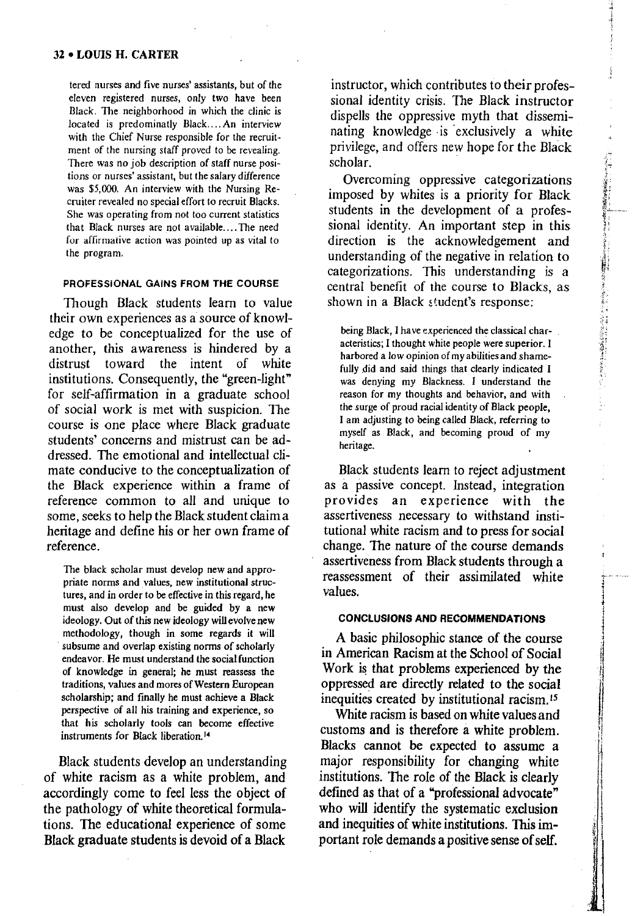tered nurses and five nurses' assistants, but of the eleven registered nurses, only two have been Black. The neighborhood in which the clinic is located is predominatly Black....An interview with the Chief Nurse responsible for the recruitment of the nursing staff proved to be revealing. There was no job description of staff nurse positions or nurses' assistant, but the salary difference was \$5,000. An interview with the Nursing Recruiter revealed no special effort to recruit Blacks. She was operating from not too current statistics that Black nurses are not available....The need for affirmative action was pointed up as vital to the program.

#### PROFESSIONAL GAINS FROM THE COURSE

Though Black students learn to value their own experiences as a source of knowledge to be conceptualized for the use of another, this awareness is hindered by a distrust toward the intent of white institutions. Consequently, the "green-light" for self-affirmation in a graduate school of social work is met with suspicion. The course is one place where Black graduate students' concerns and mistrust can be addressed. The emotional and intellectual climate conducive to the conceptualization of the Black experience within a frame of reference common to all and unique to some, seeks to help the Black student claim a heritage and define his or her own frame of reference.

The black scholar must develop new and appropriate norms and values, new institutional structures, and in order to be effective in this regard, he must also develop and be guided by a new ideology. Out of this new ideology will evolve new methodology, though in some regards it will subsume and overlap existing norms of scholarly endeavor. He must understand the social function of knowledge in general: he must reassess the traditions, values and mores of Western European scholarship; and finally he must achieve a Black perspective of all his training and experience, so that his scholarly tools can become effective instruments for Black liberation.<sup>14</sup>

Black students develop an understanding of white racism as a white problem, and accordingly come to feel less the object of the pathology of white theoretical formulations. The educational experience of some Black graduate students is devoid of a Black

instructor, which contributes to their professional identity crisis. The Black instructor dispells the oppressive myth that disseminating knowledge is exclusively a white privilege, and offers new hope for the Black scholar.

Overcoming oppressive categorizations imposed by whites is a priority for Black students in the development of a professional identity. An important step in this direction is the acknowledgement and understanding of the negative in relation to categorizations. This understanding is a central benefit of the course to Blacks, as shown in a Black student's response:

being Black, I have experienced the classical characteristics; I thought white people were superior. I harbored a low opinion of my abilities and shamefully did and said things that clearly indicated I was denying my Blackness. I understand the reason for my thoughts and behavior, and with the surge of proud racial identity of Black people, I am adjusting to being called Black, referring to myself as Black, and becoming proud of my heritage.

Black students learn to reject adjustment as a passive concept. Instead, integration provides an experience with the assertiveness necessary to withstand institutional white racism and to press for social change. The nature of the course demands assertiveness from Black students through a reassessment of their assimilated white values.

#### **CONCLUSIONS AND RECOMMENDATIONS**

A basic philosophic stance of the course in American Racism at the School of Social Work is that problems experienced by the oppressed are directly related to the social inequities created by institutional racism.<sup>15</sup>

White racism is based on white values and customs and is therefore a white problem. Blacks cannot be expected to assume a major responsibility for changing white institutions. The role of the Black is clearly defined as that of a "professional advocate" who will identify the systematic exclusion and inequities of white institutions. This important role demands a positive sense of self.